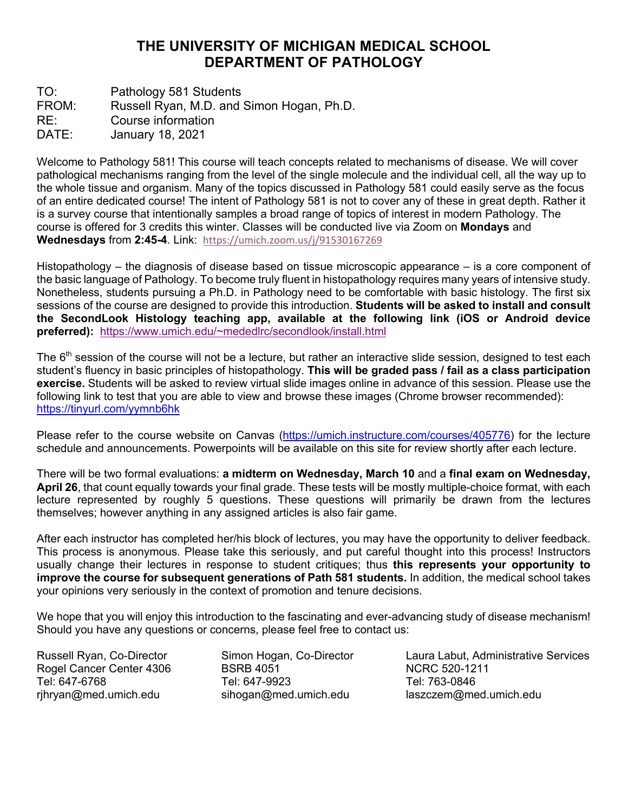## **THE UNIVERSITY OF MICHIGAN MEDICAL SCHOOL DEPARTMENT OF PATHOLOGY**

TO: Pathology 581 Students FROM: Russell Ryan, M.D. and Simon Hogan, Ph.D. RE: Course information DATE: January 18, 2021

Welcome to Pathology 581! This course will teach concepts related to mechanisms of disease. We will cover pathological mechanisms ranging from the level of the single molecule and the individual cell, all the way up to the whole tissue and organism. Many of the topics discussed in Pathology 581 could easily serve as the focus of an entire dedicated course! The intent of Pathology 581 is not to cover any of these in great depth. Rather it is a survey course that intentionally samples a broad range of topics of interest in modern Pathology. The course is offered for 3 credits this winter. Classes will be conducted live via Zoom on **Mondays** and **Wednesdays** from **2:45-4**. Link: https://umich.zoom.us/j/91530167269

Histopathology – the diagnosis of disease based on tissue microscopic appearance – is a core component of the basic language of Pathology. To become truly fluent in histopathology requires many years of intensive study. Nonetheless, students pursuing a Ph.D. in Pathology need to be comfortable with basic histology. The first six sessions of the course are designed to provide this introduction. **Students will be asked to install and consult the SecondLook Histology teaching app, available at the following link (iOS or Android device preferred):** https://www.umich.edu/~mededlrc/secondlook/install.html

The 6<sup>th</sup> session of the course will not be a lecture, but rather an interactive slide session, designed to test each student's fluency in basic principles of histopathology. **This will be graded pass / fail as a class participation exercise.** Students will be asked to review virtual slide images online in advance of this session. Please use the following link to test that you are able to view and browse these images (Chrome browser recommended): https://tinyurl.com/yymnb6hk

Please refer to the course website on Canvas (https://umich.instructure.com/courses/405776) for the lecture schedule and announcements. Powerpoints will be available on this site for review shortly after each lecture.

There will be two formal evaluations: **a midterm on Wednesday, March 10** and a **final exam on Wednesday, April 26**, that count equally towards your final grade. These tests will be mostly multiple-choice format, with each lecture represented by roughly 5 questions. These questions will primarily be drawn from the lectures themselves; however anything in any assigned articles is also fair game.

After each instructor has completed her/his block of lectures, you may have the opportunity to deliver feedback. This process is anonymous. Please take this seriously, and put careful thought into this process! Instructors usually change their lectures in response to student critiques; thus **this represents your opportunity to improve the course for subsequent generations of Path 581 students.** In addition, the medical school takes your opinions very seriously in the context of promotion and tenure decisions.

We hope that you will enjoy this introduction to the fascinating and ever-advancing study of disease mechanism! Should you have any questions or concerns, please feel free to contact us:

Rogel Cancer Center 4306 BSRB 4051 NCRC 520-1211 Tel: 647-6768 Tel: 647-9923 Tel: 647-9923 Tel: 647-9923 Tel: 763-0846<br>Thryan@med.umich.edu sihogan@med.umich.edu laszczem@me rjhryan@med.umich.edu sihogan@med.umich.edu laszczem@med.umich.edu

Russell Ryan, Co-Director Simon Hogan, Co-Director Laura Labut, Administrative Services